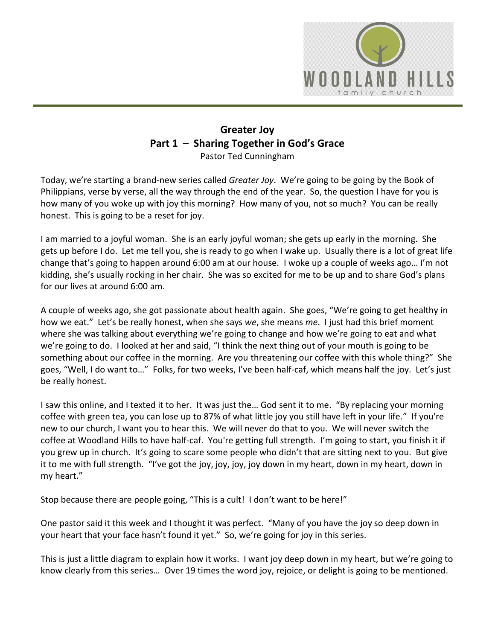

## **Greater Joy Part 1 – Sharing Together in God's Grace** Pastor Ted Cunningham

Today, we're starting a brand-new series called *Greater Joy*. We're going to be going by the Book of Philippians, verse by verse, all the way through the end of the year. So, the question I have for you is how many of you woke up with joy this morning? How many of you, not so much? You can be really honest. This is going to be a reset for joy.

I am married to a joyful woman. She is an early joyful woman; she gets up early in the morning. She gets up before I do. Let me tell you, she is ready to go when I wake up. Usually there is a lot of great life change that's going to happen around 6:00 am at our house. I woke up a couple of weeks ago… I'm not kidding, she's usually rocking in her chair. She was so excited for me to be up and to share God's plans for our lives at around 6:00 am.

A couple of weeks ago, she got passionate about health again. She goes, "We're going to get healthy in how we eat." Let's be really honest, when she says *we*, she means *me*. I just had this brief moment where she was talking about everything we're going to change and how we're going to eat and what we're going to do. I looked at her and said, "I think the next thing out of your mouth is going to be something about our coffee in the morning. Are you threatening our coffee with this whole thing?" She goes, "Well, I do want to…" Folks, for two weeks, I've been half-caf, which means half the joy. Let's just be really honest.

I saw this online, and I texted it to her. It was just the… God sent it to me. "By replacing your morning coffee with green tea, you can lose up to 87% of what little joy you still have left in your life." If you're new to our church, I want you to hear this. We will never do that to you. We will never switch the coffee at Woodland Hills to have half-caf. You're getting full strength. I'm going to start, you finish it if you grew up in church. It's going to scare some people who didn't that are sitting next to you. But give it to me with full strength. "I've got the joy, joy, joy, joy down in my heart, down in my heart, down in my heart."

Stop because there are people going, "This is a cult! I don't want to be here!"

One pastor said it this week and I thought it was perfect. "Many of you have the joy so deep down in your heart that your face hasn't found it yet." So, we're going for joy in this series.

This is just a little diagram to explain how it works. I want joy deep down in my heart, but we're going to know clearly from this series… Over 19 times the word joy, rejoice, or delight is going to be mentioned.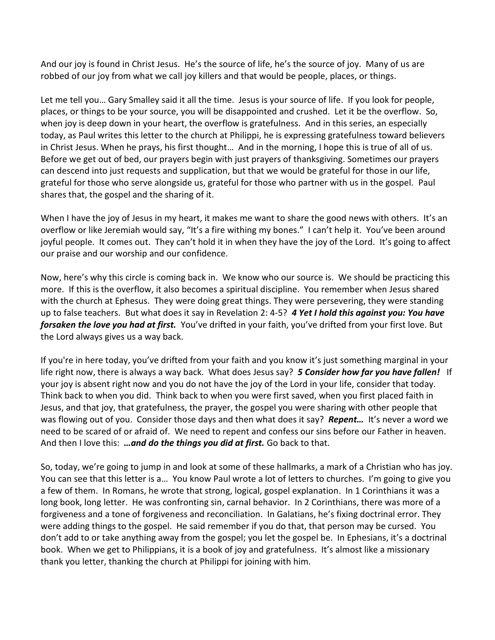And our joy is found in Christ Jesus. He's the source of life, he's the source of joy. Many of us are robbed of our joy from what we call joy killers and that would be people, places, or things.

Let me tell you… Gary Smalley said it all the time. Jesus is your source of life. If you look for people, places, or things to be your source, you will be disappointed and crushed. Let it be the overflow. So, when joy is deep down in your heart, the overflow is gratefulness. And in this series, an especially today, as Paul writes this letter to the church at Philippi, he is expressing gratefulness toward believers in Christ Jesus. When he prays, his first thought… And in the morning, I hope this is true of all of us. Before we get out of bed, our prayers begin with just prayers of thanksgiving. Sometimes our prayers can descend into just requests and supplication, but that we would be grateful for those in our life, grateful for those who serve alongside us, grateful for those who partner with us in the gospel. Paul shares that, the gospel and the sharing of it.

When I have the joy of Jesus in my heart, it makes me want to share the good news with others. It's an overflow or like Jeremiah would say, "It's a fire withing my bones." I can't help it. You've been around joyful people. It comes out. They can't hold it in when they have the joy of the Lord. It's going to affect our praise and our worship and our confidence.

Now, here's why this circle is coming back in. We know who our source is. We should be practicing this more. If this is the overflow, it also becomes a spiritual discipline. You remember when Jesus shared with the church at Ephesus. They were doing great things. They were persevering, they were standing up to false teachers. But what does it say in Revelation 2: 4-5? *4 Yet I hold this against you: You have forsaken the love you had at first.* You've drifted in your faith, you've drifted from your first love. But the Lord always gives us a way back.

If you're in here today, you've drifted from your faith and you know it's just something marginal in your life right now, there is always a way back. What does Jesus say? *5 Consider how far you have fallen!* If your joy is absent right now and you do not have the joy of the Lord in your life, consider that today. Think back to when you did. Think back to when you were first saved, when you first placed faith in Jesus, and that joy, that gratefulness, the prayer, the gospel you were sharing with other people that was flowing out of you. Consider those days and then what does it say? *Repent…* It's never a word we need to be scared of or afraid of. We need to repent and confess our sins before our Father in heaven. And then I love this: *…and do the things you did at first.* Go back to that.

So, today, we're going to jump in and look at some of these hallmarks, a mark of a Christian who has joy. You can see that this letter is a… You know Paul wrote a lot of letters to churches. I'm going to give you a few of them. In Romans, he wrote that strong, logical, gospel explanation. In 1 Corinthians it was a long book, long letter. He was confronting sin, carnal behavior. In 2 Corinthians, there was more of a forgiveness and a tone of forgiveness and reconciliation. In Galatians, he's fixing doctrinal error. They were adding things to the gospel. He said remember if you do that, that person may be cursed. You don't add to or take anything away from the gospel; you let the gospel be. In Ephesians, it's a doctrinal book. When we get to Philippians, it is a book of joy and gratefulness. It's almost like a missionary thank you letter, thanking the church at Philippi for joining with him.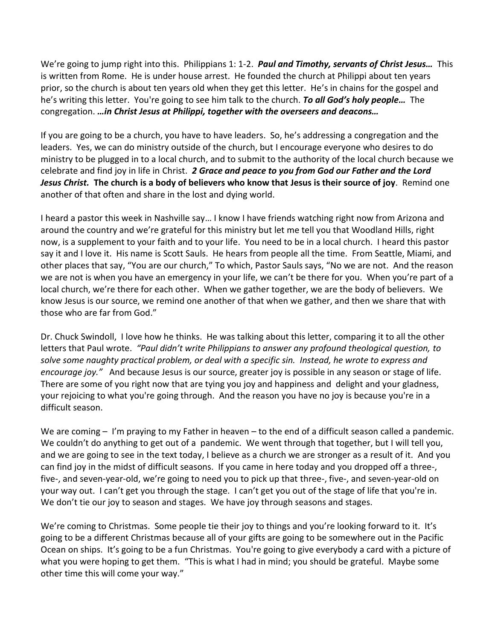We're going to jump right into this. Philippians 1: 1-2. *Paul and Timothy, servants of Christ Jesus…* This is written from Rome. He is under house arrest. He founded the church at Philippi about ten years prior, so the church is about ten years old when they get this letter. He's in chains for the gospel and he's writing this letter. You're going to see him talk to the church. *To all God's holy people…* The congregation. *…in Christ Jesus at Philippi, together with the overseers and deacons…*

If you are going to be a church, you have to have leaders. So, he's addressing a congregation and the leaders. Yes, we can do ministry outside of the church, but I encourage everyone who desires to do ministry to be plugged in to a local church, and to submit to the authority of the local church because we celebrate and find joy in life in Christ. *2 Grace and peace to you from God our Father and the Lord Jesus Christ.* **The church is a body of believers who know that Jesus is their source of joy**. Remind one another of that often and share in the lost and dying world.

I heard a pastor this week in Nashville say… I know I have friends watching right now from Arizona and around the country and we're grateful for this ministry but let me tell you that Woodland Hills, right now, is a supplement to your faith and to your life. You need to be in a local church. I heard this pastor say it and I love it. His name is Scott Sauls. He hears from people all the time. From Seattle, Miami, and other places that say, "You are our church," To which, Pastor Sauls says, "No we are not. And the reason we are not is when you have an emergency in your life, we can't be there for you. When you're part of a local church, we're there for each other. When we gather together, we are the body of believers. We know Jesus is our source, we remind one another of that when we gather, and then we share that with those who are far from God."

Dr. Chuck Swindoll, I love how he thinks. He was talking about this letter, comparing it to all the other letters that Paul wrote. *"Paul didn't write Philippians to answer any profound theological question, to solve some naughty practical problem, or deal with a specific sin. Instead, he wrote to express and encourage joy."* And because Jesus is our source, greater joy is possible in any season or stage of life. There are some of you right now that are tying you joy and happiness and delight and your gladness, your rejoicing to what you're going through. And the reason you have no joy is because you're in a difficult season.

We are coming – I'm praying to my Father in heaven – to the end of a difficult season called a pandemic. We couldn't do anything to get out of a pandemic. We went through that together, but I will tell you, and we are going to see in the text today, I believe as a church we are stronger as a result of it. And you can find joy in the midst of difficult seasons. If you came in here today and you dropped off a three-, five-, and seven-year-old, we're going to need you to pick up that three-, five-, and seven-year-old on your way out. I can't get you through the stage. I can't get you out of the stage of life that you're in. We don't tie our joy to season and stages. We have joy through seasons and stages.

We're coming to Christmas. Some people tie their joy to things and you're looking forward to it. It's going to be a different Christmas because all of your gifts are going to be somewhere out in the Pacific Ocean on ships. It's going to be a fun Christmas. You're going to give everybody a card with a picture of what you were hoping to get them. "This is what I had in mind; you should be grateful. Maybe some other time this will come your way."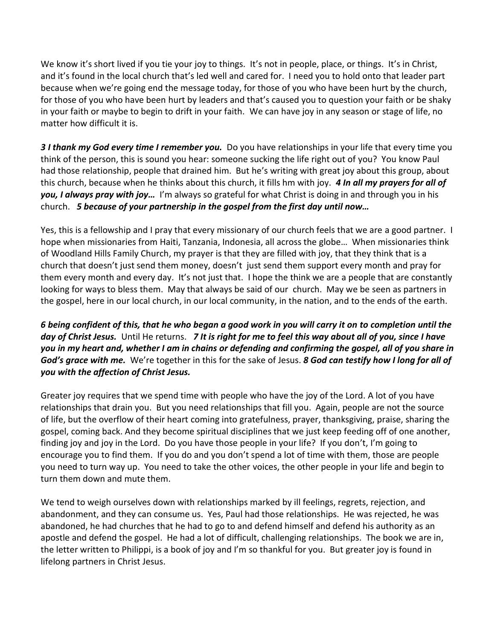We know it's short lived if you tie your joy to things. It's not in people, place, or things. It's in Christ, and it's found in the local church that's led well and cared for. I need you to hold onto that leader part because when we're going end the message today, for those of you who have been hurt by the church, for those of you who have been hurt by leaders and that's caused you to question your faith or be shaky in your faith or maybe to begin to drift in your faith. We can have joy in any season or stage of life, no matter how difficult it is.

*3 I thank my God every time I remember you.* Do you have relationships in your life that every time you think of the person, this is sound you hear: someone sucking the life right out of you? You know Paul had those relationship, people that drained him. But he's writing with great joy about this group, about this church, because when he thinks about this church, it fills hm with joy. *4 In all my prayers for all of you, I always pray with joy…* I'm always so grateful for what Christ is doing in and through you in his church. *5 because of your partnership in the gospel from the first day until now…*

Yes, this is a fellowship and I pray that every missionary of our church feels that we are a good partner. I hope when missionaries from Haiti, Tanzania, Indonesia, all across the globe… When missionaries think of Woodland Hills Family Church, my prayer is that they are filled with joy, that they think that is a church that doesn't just send them money, doesn't just send them support every month and pray for them every month and every day. It's not just that. I hope the think we are a people that are constantly looking for ways to bless them. May that always be said of our church. May we be seen as partners in the gospel, here in our local church, in our local community, in the nation, and to the ends of the earth.

*6 being confident of this, that he who began a good work in you will carry it on to completion until the day of Christ Jesus.* Until He returns. *7 It is right for me to feel this way about all of you, since I have you in my heart and, whether I am in chains or defending and confirming the gospel, all of you share in God's grace with me.* We're together in this for the sake of Jesus. *8 God can testify how I long for all of you with the affection of Christ Jesus.*

Greater joy requires that we spend time with people who have the joy of the Lord. A lot of you have relationships that drain you. But you need relationships that fill you. Again, people are not the source of life, but the overflow of their heart coming into gratefulness, prayer, thanksgiving, praise, sharing the gospel, coming back. And they become spiritual disciplines that we just keep feeding off of one another, finding joy and joy in the Lord. Do you have those people in your life? If you don't, I'm going to encourage you to find them. If you do and you don't spend a lot of time with them, those are people you need to turn way up. You need to take the other voices, the other people in your life and begin to turn them down and mute them.

We tend to weigh ourselves down with relationships marked by ill feelings, regrets, rejection, and abandonment, and they can consume us. Yes, Paul had those relationships. He was rejected, he was abandoned, he had churches that he had to go to and defend himself and defend his authority as an apostle and defend the gospel. He had a lot of difficult, challenging relationships. The book we are in, the letter written to Philippi, is a book of joy and I'm so thankful for you. But greater joy is found in lifelong partners in Christ Jesus.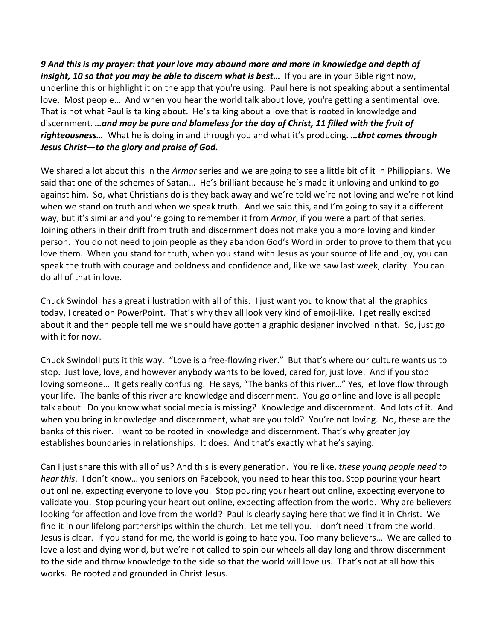*9 And this is my prayer: that your love may abound more and more in knowledge and depth of insight, 10 so that you may be able to discern what is best...* If you are in your Bible right now, underline this or highlight it on the app that you're using. Paul here is not speaking about a sentimental love. Most people… And when you hear the world talk about love, you're getting a sentimental love. That is not what Paul is talking about. He's talking about a love that is rooted in knowledge and discernment. *…and may be pure and blameless for the day of Christ, 11 filled with the fruit of righteousness…* What he is doing in and through you and what it's producing. *…that comes through Jesus Christ—to the glory and praise of God.*

We shared a lot about this in the *Armor* series and we are going to see a little bit of it in Philippians. We said that one of the schemes of Satan… He's brilliant because he's made it unloving and unkind to go against him. So, what Christians do is they back away and we're told we're not loving and we're not kind when we stand on truth and when we speak truth. And we said this, and I'm going to say it a different way, but it's similar and you're going to remember it from *Armor*, if you were a part of that series. Joining others in their drift from truth and discernment does not make you a more loving and kinder person. You do not need to join people as they abandon God's Word in order to prove to them that you love them. When you stand for truth, when you stand with Jesus as your source of life and joy, you can speak the truth with courage and boldness and confidence and, like we saw last week, clarity. You can do all of that in love.

Chuck Swindoll has a great illustration with all of this. I just want you to know that all the graphics today, I created on PowerPoint. That's why they all look very kind of emoji-like. I get really excited about it and then people tell me we should have gotten a graphic designer involved in that. So, just go with it for now.

Chuck Swindoll puts it this way. "Love is a free-flowing river." But that's where our culture wants us to stop. Just love, love, and however anybody wants to be loved, cared for, just love. And if you stop loving someone… It gets really confusing. He says, "The banks of this river…" Yes, let love flow through your life. The banks of this river are knowledge and discernment. You go online and love is all people talk about. Do you know what social media is missing? Knowledge and discernment. And lots of it. And when you bring in knowledge and discernment, what are you told? You're not loving. No, these are the banks of this river. I want to be rooted in knowledge and discernment. That's why greater joy establishes boundaries in relationships. It does. And that's exactly what he's saying.

Can I just share this with all of us? And this is every generation. You're like, *these young people need to hear this*. I don't know… you seniors on Facebook, you need to hear this too. Stop pouring your heart out online, expecting everyone to love you. Stop pouring your heart out online, expecting everyone to validate you. Stop pouring your heart out online, expecting affection from the world. Why are believers looking for affection and love from the world? Paul is clearly saying here that we find it in Christ. We find it in our lifelong partnerships within the church. Let me tell you. I don't need it from the world. Jesus is clear. If you stand for me, the world is going to hate you. Too many believers… We are called to love a lost and dying world, but we're not called to spin our wheels all day long and throw discernment to the side and throw knowledge to the side so that the world will love us. That's not at all how this works. Be rooted and grounded in Christ Jesus.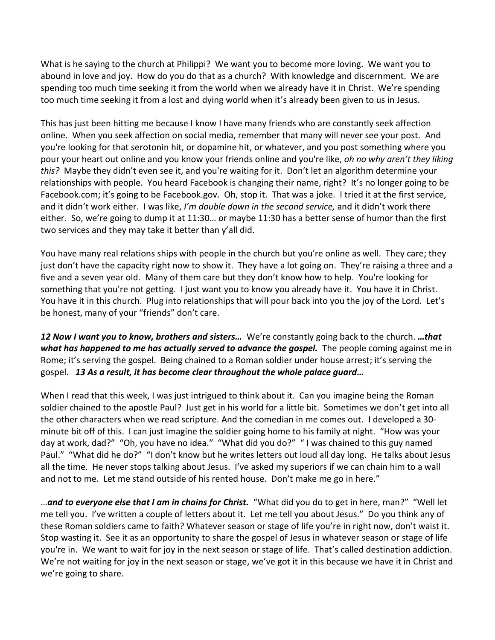What is he saying to the church at Philippi? We want you to become more loving. We want you to abound in love and joy. How do you do that as a church? With knowledge and discernment. We are spending too much time seeking it from the world when we already have it in Christ. We're spending too much time seeking it from a lost and dying world when it's already been given to us in Jesus.

This has just been hitting me because I know I have many friends who are constantly seek affection online. When you seek affection on social media, remember that many will never see your post. And you're looking for that serotonin hit, or dopamine hit, or whatever, and you post something where you pour your heart out online and you know your friends online and you're like, *oh no why aren't they liking this?* Maybe they didn't even see it, and you're waiting for it. Don't let an algorithm determine your relationships with people. You heard Facebook is changing their name, right? It's no longer going to be Facebook.com; it's going to be Facebook.gov. Oh, stop it. That was a joke. I tried it at the first service, and it didn't work either. I was like, *I'm double down in the second service,* and it didn't work there either. So, we're going to dump it at 11:30… or maybe 11:30 has a better sense of humor than the first two services and they may take it better than y'all did.

You have many real relations ships with people in the church but you're online as well. They care; they just don't have the capacity right now to show it. They have a lot going on. They're raising a three and a five and a seven year old. Many of them care but they don't know how to help. You're looking for something that you're not getting. I just want you to know you already have it. You have it in Christ. You have it in this church. Plug into relationships that will pour back into you the joy of the Lord. Let's be honest, many of your "friends" don't care.

*12 Now I want you to know, brothers and sisters…* We're constantly going back to the church. *…that what has happened to me has actually served to advance the gospel.* The people coming against me in Rome; it's serving the gospel. Being chained to a Roman soldier under house arrest; it's serving the gospel. *13 As a result, it has become clear throughout the whole palace guard…* 

When I read that this week, I was just intrigued to think about it. Can you imagine being the Roman soldier chained to the apostle Paul? Just get in his world for a little bit. Sometimes we don't get into all the other characters when we read scripture. And the comedian in me comes out. I developed a 30 minute bit off of this. I can just imagine the soldier going home to his family at night. "How was your day at work, dad?" "Oh, you have no idea." "What did you do?" " I was chained to this guy named Paul." "What did he do?" "I don't know but he writes letters out loud all day long. He talks about Jesus all the time. He never stops talking about Jesus. I've asked my superiors if we can chain him to a wall and not to me. Let me stand outside of his rented house. Don't make me go in here."

…*and to everyone else that I am in chains for Christ.* "What did you do to get in here, man?" "Well let me tell you. I've written a couple of letters about it. Let me tell you about Jesus." Do you think any of these Roman soldiers came to faith? Whatever season or stage of life you're in right now, don't waist it. Stop wasting it. See it as an opportunity to share the gospel of Jesus in whatever season or stage of life you're in. We want to wait for joy in the next season or stage of life. That's called destination addiction. We're not waiting for joy in the next season or stage, we've got it in this because we have it in Christ and we're going to share.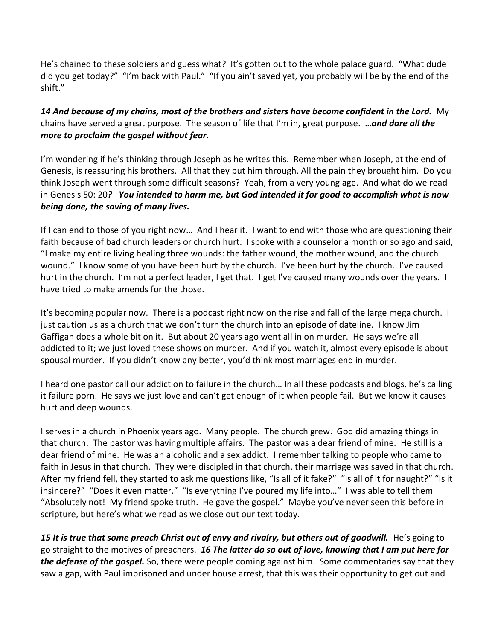He's chained to these soldiers and guess what? It's gotten out to the whole palace guard. "What dude did you get today?" "I'm back with Paul." "If you ain't saved yet, you probably will be by the end of the shift."

*14 And because of my chains, most of the brothers and sisters have become confident in the Lord.* My chains have served a great purpose. The season of life that I'm in, great purpose. …*and dare all the more to proclaim the gospel without fear.*

I'm wondering if he's thinking through Joseph as he writes this. Remember when Joseph, at the end of Genesis, is reassuring his brothers. All that they put him through. All the pain they brought him. Do you think Joseph went through some difficult seasons? Yeah, from a very young age. And what do we read in Genesis 50: 20*? You intended to harm me, but God intended it for good to accomplish what is now being done, the saving of many lives.*

If I can end to those of you right now… And I hear it. I want to end with those who are questioning their faith because of bad church leaders or church hurt. I spoke with a counselor a month or so ago and said, "I make my entire living healing three wounds: the father wound, the mother wound, and the church wound." I know some of you have been hurt by the church. I've been hurt by the church. I've caused hurt in the church. I'm not a perfect leader, I get that. I get I've caused many wounds over the years. I have tried to make amends for the those.

It's becoming popular now. There is a podcast right now on the rise and fall of the large mega church. I just caution us as a church that we don't turn the church into an episode of dateline. I know Jim Gaffigan does a whole bit on it. But about 20 years ago went all in on murder. He says we're all addicted to it; we just loved these shows on murder. And if you watch it, almost every episode is about spousal murder. If you didn't know any better, you'd think most marriages end in murder.

I heard one pastor call our addiction to failure in the church… In all these podcasts and blogs, he's calling it failure porn. He says we just love and can't get enough of it when people fail. But we know it causes hurt and deep wounds.

I serves in a church in Phoenix years ago. Many people. The church grew. God did amazing things in that church. The pastor was having multiple affairs. The pastor was a dear friend of mine. He still is a dear friend of mine. He was an alcoholic and a sex addict. I remember talking to people who came to faith in Jesus in that church. They were discipled in that church, their marriage was saved in that church. After my friend fell, they started to ask me questions like, "Is all of it fake?" "Is all of it for naught?" "Is it insincere?" "Does it even matter." "Is everything I've poured my life into…" I was able to tell them "Absolutely not! My friend spoke truth. He gave the gospel." Maybe you've never seen this before in scripture, but here's what we read as we close out our text today.

15 It is true that some preach Christ out of envy and rivalry, but others out of goodwill. He's going to go straight to the motives of preachers. *16 The latter do so out of love, knowing that I am put here for the defense of the gospel.* So, there were people coming against him. Some commentaries say that they saw a gap, with Paul imprisoned and under house arrest, that this was their opportunity to get out and